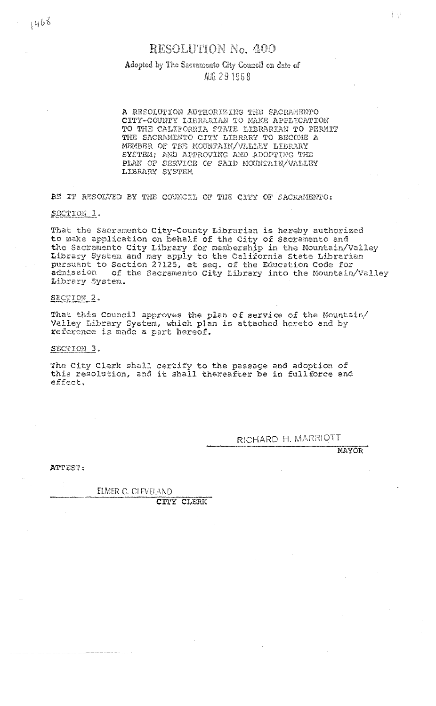## **RESOLUTION No. 400**

## Adopted by The Sacramento City Council on date of AUG 291968

A RESOLUTION AUTHORIZING THE SACRAMENTO CITY-COUNTY LIBRARIAN TO MAKE APPLICATION TO THE CALIFORNIA STATE LIBRARIAN TO PERMIT THE SACRAMENTO CITY LIBRARY TO BECOME A MEMBER OF THE MOUNTAIN/VALLEY LIBRARY SYSTEM; AND APPROVING AND ADOPTING THE PLAN OF SERVICE OF SAID MOUNTAIN/VALLEY LIBRARY SYSTEM

BE IT RESOLVED BY THE COUNCIL OF THE CITY OF SACRAMENTO:

SECTION 1.

That the Sacramento City-County Librarian is hereby authorized to make application on behalf of the City of Sacramento and the Sacramento City Library for membership in the Mountain/Valley Library System and may apply to the California State Librarian<br>pursuant to Section 27125, et seq. of the Education Code for admission of the Sacramento City Library into the Mountain/Valley Library System.

## SECTION 2.

That this Council approves the plan of service of the Mountain/<br>Valley Library System, which plan is attached hereto and by reference is made a part hereof.

SECTION 3.

The City Clerk shall certify to the passage and adoption of this resolution, and it shall thereafter be in fullforce and effect.

RICHARD H. MARRIOTT

**MAYOR** 

I y

ATTEST:

ELMER C. CLEVELAND

CITY CLERK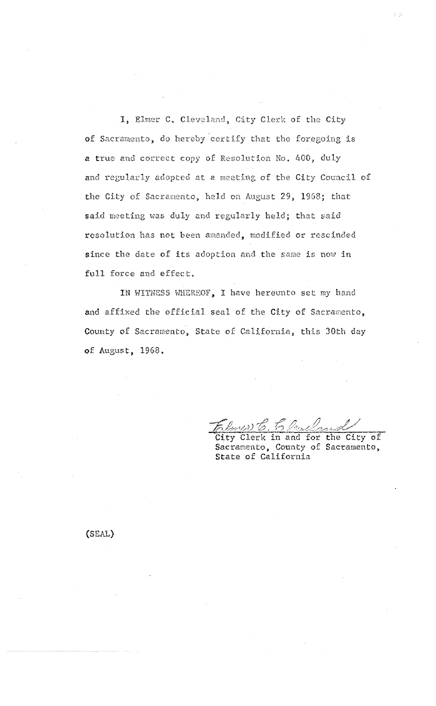I, Elmer C. Cleveland, City Clerk of the City of Sacramento, do hereby certify that the foregoing is a true and correct copy of Resolution No. 400, duly and regularly adopted at a meeting of the City Council of the City of Sacramento, held on August 29, 1968; that said meeting was duly and regularly held; that said resolution has not been amended, modified or rescinded since the date of its adoption and the same is now in full force and effect.

IN WITNESS WHEREOF, I have hereunto set my hand and affixed the official seal of the City of Sacramento, County of Sacramento, State of California, this 30th day of August, 1968.

Christ C. 5 Auchen 2015

(SEAL)